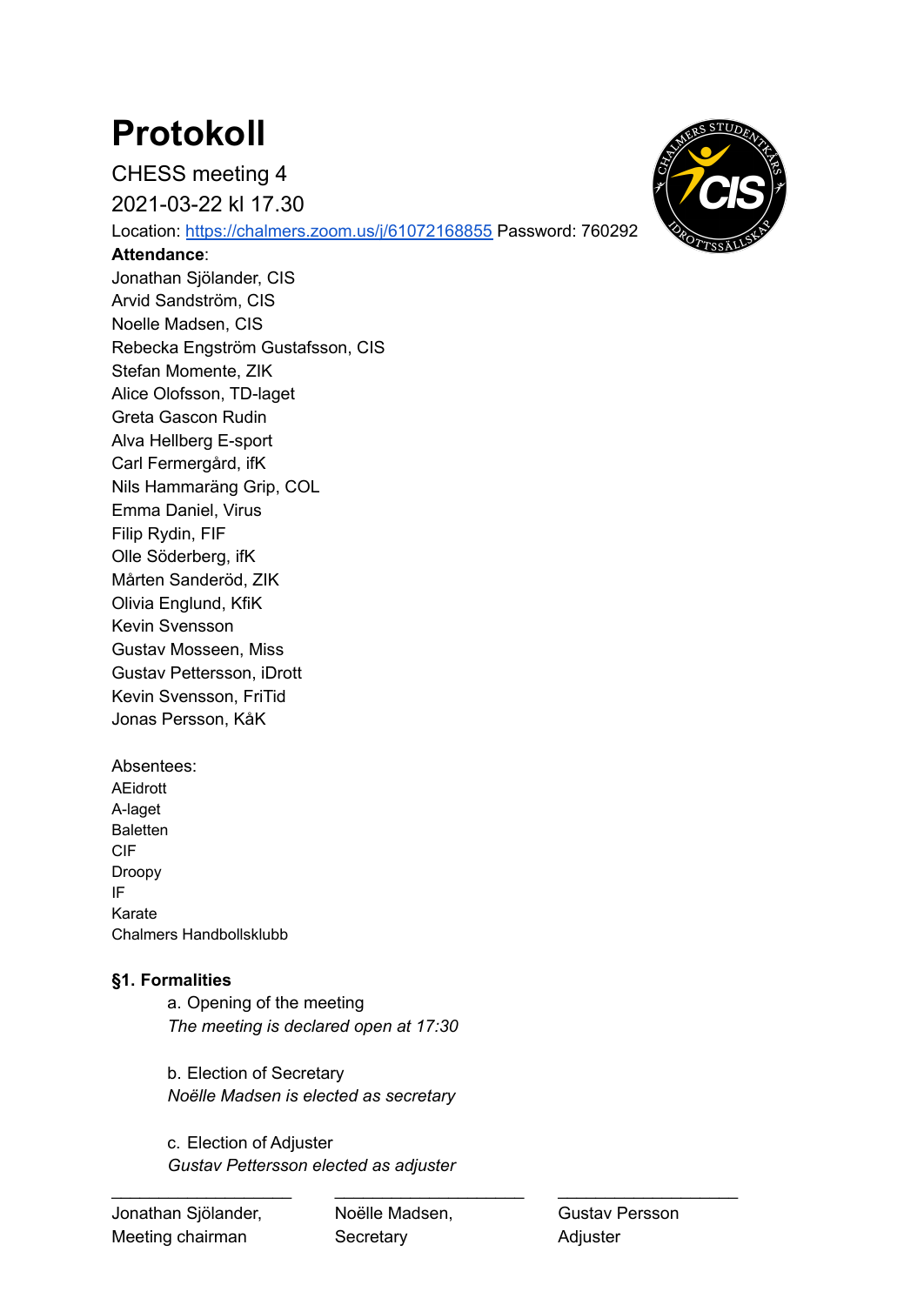# **Protokoll**

CHESS meeting 4

2021-03-22 kl 17.30

Location: <https://chalmers.zoom.us/j/61072168855> Password: 760292

#### **Attendance**:

Jonathan Sjölander, CIS Arvid Sandström, CIS Noelle Madsen, CIS Rebecka Engström Gustafsson, CIS Stefan Momente, ZIK Alice Olofsson, TD-laget Greta Gascon Rudin Alva Hellberg E-sport Carl Fermergård, ifK Nils Hammaräng Grip, COL Emma Daniel, Virus Filip Rydin, FIF Olle Söderberg, ifK Mårten Sanderöd, ZIK Olivia Englund, KfiK Kevin Svensson Gustav Mosseen, Miss Gustav Pettersson, iDrott Kevin Svensson, FriTid Jonas Persson, KåK

Absentees: AEidrott A-laget **Baletten** CIF Droopy IF Karate Chalmers Handbollsklubb

# **§1. Formalities**

a. Opening of the meeting *The meeting is declared open at 17:30*

b. Election of Secretary *Noëlle Madsen is elected as secretary*

c. Election of Adjuster *Gustav Pettersson elected as adjuster*

\_\_\_\_\_\_\_\_\_\_\_\_\_\_\_\_\_\_\_ \_\_\_\_\_\_\_\_\_\_\_\_\_\_\_\_\_\_\_\_ \_\_\_\_\_\_\_\_\_\_\_\_\_\_\_\_\_\_\_